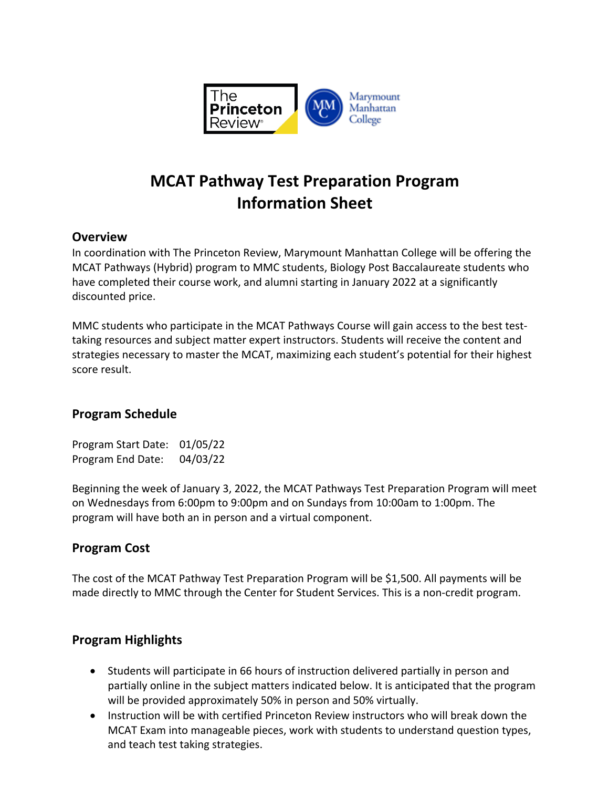

## **MCAT Pathway Test Preparation Program Information Sheet**

#### **Overview**

In coordination with The Princeton Review, Marymount Manhattan College will be offering the MCAT Pathways (Hybrid) program to MMC students, Biology Post Baccalaureate students who have completed their course work, and alumni starting in January 2022 at a significantly discounted price.

MMC students who participate in the MCAT Pathways Course will gain access to the best testtaking resources and subject matter expert instructors. Students will receive the content and strategies necessary to master the MCAT, maximizing each student's potential for their highest score result.

#### **Program Schedule**

Program Start Date: 01/05/22 Program End Date: 04/03/22

Beginning the week of January 3, 2022, the MCAT Pathways Test Preparation Program will meet on Wednesdays from 6:00pm to 9:00pm and on Sundays from 10:00am to 1:00pm. The program will have both an in person and a virtual component.

#### **Program Cost**

The cost of the MCAT Pathway Test Preparation Program will be \$1,500. All payments will be made directly to MMC through the Center for Student Services. This is a non-credit program.

#### **Program Highlights**

- Students will participate in 66 hours of instruction delivered partially in person and partially online in the subject matters indicated below. It is anticipated that the program will be provided approximately 50% in person and 50% virtually.
- Instruction will be with certified Princeton Review instructors who will break down the MCAT Exam into manageable pieces, work with students to understand question types, and teach test taking strategies.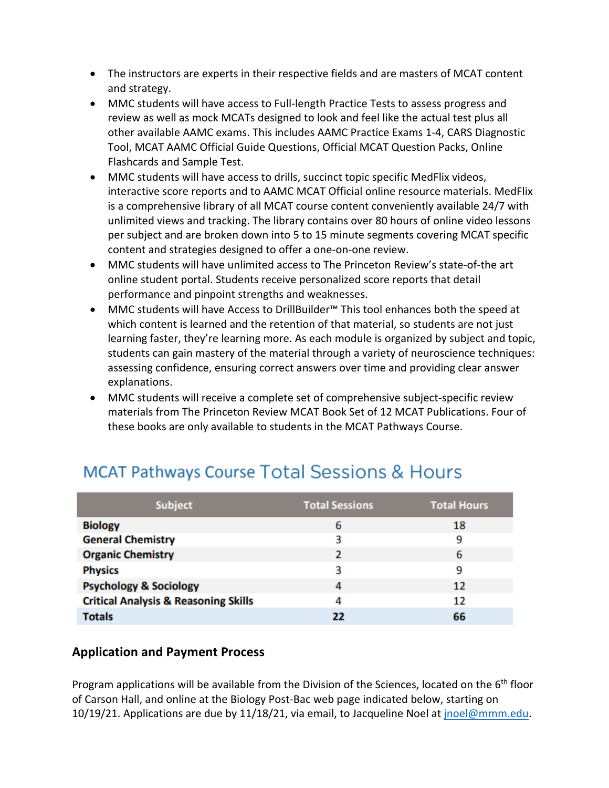- The instructors are experts in their respective fields and are masters of MCAT content and strategy.
- MMC students will have access to Full-length Practice Tests to assess progress and review as well as mock MCATs designed to look and feel like the actual test plus all other available AAMC exams. This includes AAMC Practice Exams 1-4, CARS Diagnostic Tool, MCAT AAMC Official Guide Questions, Official MCAT Question Packs, Online Flashcards and Sample Test.
- MMC students will have access to drills, succinct topic specific MedFlix videos, interactive score reports and to AAMC MCAT Official online resource materials. MedFlix is a comprehensive library of all MCAT course content conveniently available 24/7 with unlimited views and tracking. The library contains over 80 hours of online video lessons per subject and are broken down into 5 to 15 minute segments covering MCAT specific content and strategies designed to offer a one-on-one review.
- MMC students will have unlimited access to The Princeton Review's state-of-the art online student portal. Students receive personalized score reports that detail performance and pinpoint strengths and weaknesses.
- MMC students will have Access to DrillBuilder™ This tool enhances both the speed at which content is learned and the retention of that material, so students are not just learning faster, they're learning more. As each module is organized by subject and topic, students can gain mastery of the material through a variety of neuroscience techniques: assessing confidence, ensuring correct answers over time and providing clear answer explanations.
- MMC students will receive a complete set of comprehensive subject-specific review materials from The Princeton Review MCAT Book Set of 12 MCAT Publications. Four of these books are only available to students in the MCAT Pathways Course.

| <b>Subject</b>                                  | <b>Total Sessions</b> | <b>Total Hours</b> |
|-------------------------------------------------|-----------------------|--------------------|
| <b>Biology</b>                                  | 6                     | 18                 |
| <b>General Chemistry</b>                        | 3                     | 9                  |
| <b>Organic Chemistry</b>                        | 2                     | 6                  |
| <b>Physics</b>                                  | 3                     | 9                  |
| <b>Psychology &amp; Sociology</b>               | 4                     | 12                 |
| <b>Critical Analysis &amp; Reasoning Skills</b> | 4                     | 12                 |
| <b>Totals</b>                                   | 22                    | 66                 |

# **MCAT Pathways Course Total Sessions & Hours**

#### **Application and Payment Process**

Program applications will be available from the Division of the Sciences, located on the 6<sup>th</sup> floor of Carson Hall, and online at the Biology Post-Bac web page indicated below, starting on 10/19/21. Applications are due by 11/18/21, via email, to Jacqueline Noel at jnoel@mmm.edu.